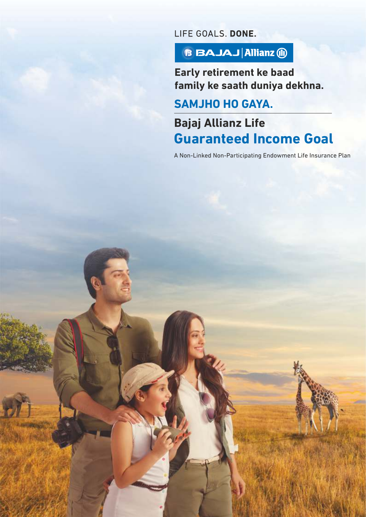LIFE GOALS, DONE.

**BBAJAJ Allianz (ii)** 

**Early retirement ke baad family ke saath duniya dekhna.**

**SAMJHO HO GAYA.**

**Bajaj Allianz Life Guaranteed Income Goal** 

A Non-Linked Non-Participating Endowment Life Insurance Plan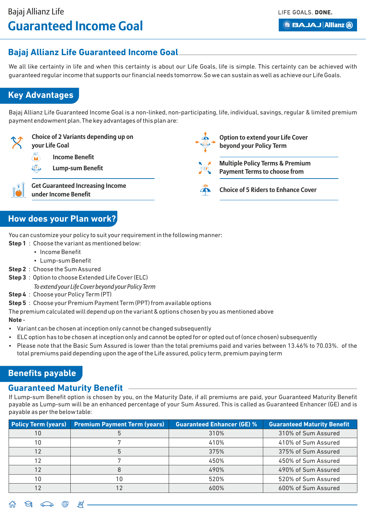**Option to extend your Life Cover** 

**Multiple Policy Terms & Premium Payment Terms to choose from**

**Choice of 5 Riders to Enhance Cover**

**beyond your Policy Term**

**BBAJAJ Allianz (ii)** 

## **Bajaj Allianz Life Guaranteed Income Goal**

We all like certainty in life and when this certainty is about our Life Goals, life is simple. This certainty can be achieved with guaranteed regular income that supports our financial needs tomorrow.So we can sustain as well as achieve our Life Goals.

## **Key Advantages**

Bajaj Allianz Life Guaranteed Income Goal is a non-linked, non-participating, life, individual, savings, regular & limited premium payment endowment plan.The key advantages of this plan are:



- **your Life Goal**
	- **Income Benefit**
- KÕ, **Lump-sum Benefit**

**Choice of 2 Variants depending up on** 

**Get Guaranteed Increasing Income under Income Benefit**

## **How does your Plan work?**

You can customize your policy to suit your requirement in the following manner:

- **Step 1** : Choose the variant as mentioned below:
	- Income Benefit
	- Lump-sum Benefit
- **Step 2** : Choose the Sum Assured
- **Step 3** : Option to choose Extended Life Cover (ELC)
	- *To extend your Life Cover beyond your Policy Term*
- **Step 4** : Choose your Policy Term (PT)

**Step 5** : Choose your Premium Payment Term (PPT) from available options

The premium calculated will depend up on the variant & options chosen by you as mentioned above

### **Note** -

- Variant can be chosen at inception only cannot be changed subsequently
- ELC option has to be chosen at inception only and cannot be opted for or opted out of (once chosen) subsequently
- Please note that the Basic Sum Assured is lower than the total premiums paid and varies between 13.46% to 70.03%. of the total premiums paid depending upon the age of the Life assured, policy term, premium paying term

## **Benefits payable**

### **Guaranteed Maturity Benefit**

If Lump-sum Benefit option is chosen by you, on the Maturity Date, if all premiums are paid, your Guaranteed Maturity Benefit payable as Lump-sum will be an enhanced percentage of your Sum Assured. This is called as Guaranteed Enhancer (GE) and is payable as per the below table:

| <b>Policy Term (years)</b> | <b>Premium Payment Term (years)</b> | <b>Guaranteed Enhancer (GE) %</b> | <b>Guaranteed Maturity Benefit</b> |
|----------------------------|-------------------------------------|-----------------------------------|------------------------------------|
| 10                         |                                     | 310%                              | 310% of Sum Assured                |
| 10                         |                                     | 410%                              | 410% of Sum Assured                |
| 12                         |                                     | 375%                              | 375% of Sum Assured                |
| 12                         |                                     | 450%                              | 450% of Sum Assured                |
| 12                         |                                     | 490%                              | 490% of Sum Assured                |
| 10                         |                                     | 520%                              | 520% of Sum Assured                |
|                            |                                     | 600%                              | 600% of Sum Assured                |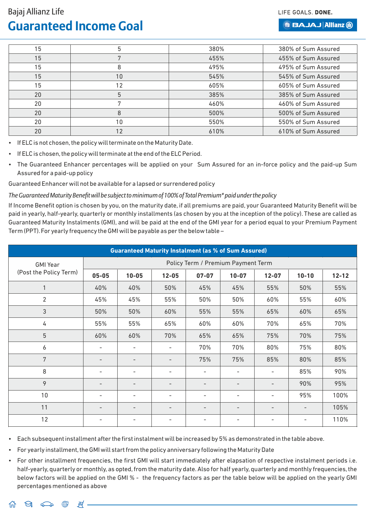LIFE GOALS, DONE.

#### **BBAJAJ Allianz (ii)**

| 15 | 5  | 380% | 380% of Sum Assured |
|----|----|------|---------------------|
| 15 |    | 455% | 455% of Sum Assured |
| 15 | 8  | 495% | 495% of Sum Assured |
| 15 | 10 | 545% | 545% of Sum Assured |
| 15 | 12 | 605% | 605% of Sum Assured |
| 20 | 5  | 385% | 385% of Sum Assured |
| 20 |    | 460% | 460% of Sum Assured |
| 20 |    | 500% | 500% of Sum Assured |
| 20 | 10 | 550% | 550% of Sum Assured |
| 20 |    | 610% | 610% of Sum Assured |

- If ELC is not chosen, the policy will terminate on the Maturity Date.
- If ELC is chosen, the policy will terminate at the end of the ELC Period.
- The Guaranteed Enhancer percentages will be applied on your Sum Assured for an in-force policy and the paid-up Sum Assured for a paid-up policy

Guaranteed Enhancer will not be available for a lapsed or surrendered policy

#### *The Guaranteed Maturity Benefit will be subject to minimum of 100% of Total Premium\* paid under the policy*

If Income Benefit option is chosen by you, on the maturity date, if all premiums are paid, your Guaranteed Maturity Benefit will be paid in yearly, half-yearly, quarterly or monthly installments (as chosen by you at the inception of the policy). These are called as Guaranteed Maturity Instalments (GMI), and will be paid at the end of the GMI year for a period equal to your Premium Payment Term (PPT). For yearly frequency the GMI will be payable as per the below table –

| <b>Guaranteed Maturity Instalment (as % of Sum Assured)</b> |                                    |                          |                          |                          |                          |                          |                |           |  |  |  |  |
|-------------------------------------------------------------|------------------------------------|--------------------------|--------------------------|--------------------------|--------------------------|--------------------------|----------------|-----------|--|--|--|--|
| <b>GMI Year</b>                                             | Policy Term / Premium Payment Term |                          |                          |                          |                          |                          |                |           |  |  |  |  |
| (Post the Policy Term)                                      | $05 - 05$                          | $10 - 05$                | $12 - 05$                | $07 - 07$                | $10 - 07$                | $12 - 07$                | $10 - 10$      | $12 - 12$ |  |  |  |  |
|                                                             | 40%                                | 40%                      | 50%                      | 45%                      | 45%                      | 55%                      | 50%            | 55%       |  |  |  |  |
| $\overline{2}$                                              | 45%                                | 45%                      | 55%                      | 50%                      | 50%                      | 60%                      | 55%            | 60%       |  |  |  |  |
| 3                                                           | 50%                                | 50%                      | 60%                      | 55%                      | 55%                      | 65%                      | 60%            | 65%       |  |  |  |  |
| 4                                                           | 55%                                | 55%                      | 65%                      | 60%                      | 60%                      | 70%                      | 65%            | 70%       |  |  |  |  |
| 5                                                           | 60%                                | 60%                      | 70%                      | 65%                      | 65%                      | 75%                      | 70%            | 75%       |  |  |  |  |
| 6                                                           | ۰                                  | -                        | $\overline{\phantom{a}}$ | 70%                      | 70%                      | 80%                      | 75%            | 80%       |  |  |  |  |
| 7                                                           |                                    | $\overline{\phantom{0}}$ |                          | 75%                      | 75%                      | 85%                      | 80%            | 85%       |  |  |  |  |
| 8                                                           |                                    | $\overline{\phantom{a}}$ | $\overline{\phantom{a}}$ | $\overline{\phantom{a}}$ | -                        | $\overline{\phantom{a}}$ | 85%            | 90%       |  |  |  |  |
| 9                                                           |                                    | $\overline{\phantom{0}}$ |                          |                          | $\overline{\phantom{0}}$ |                          | 90%            | 95%       |  |  |  |  |
| 10                                                          |                                    | ۰                        | $\overline{\phantom{a}}$ |                          | ۰                        | $\overline{a}$           | 95%            | 100%      |  |  |  |  |
| 11                                                          |                                    | $\overline{\phantom{0}}$ |                          |                          | $\overline{\phantom{0}}$ | -                        | $\overline{a}$ | 105%      |  |  |  |  |
| 12                                                          |                                    |                          |                          |                          |                          |                          |                | 110%      |  |  |  |  |

• Each subsequent installment after the first instalment will be increased by 5% as demonstrated in the table above.

- For yearly installment, the GMI will start from the policy anniversary following the Maturity Date
- For other installment frequencies, the first GMI will start immediately after elapsation of respective instalment periods i.e. half-yearly, quarterly or monthly, as opted, from the maturity date. Also for half yearly, quarterly and monthly frequencies, the below factors will be applied on the GMI % - the frequency factors as per the table below will be applied on the yearly GMI percentages mentioned as above

 $\Theta_1 \circ \!\!\!\! \circ \!\!\!\! \circ \!\!\!\! \circ \!\!\!\! \circ \!\!\!\! \circ \!\!\!\! \circ \!\!\!\! \circ \!\!\!\! \circ \!\!\!\! \circ \!\!\!\! \circ \!\!\!\! \circ \!\!\!\! \circ \!\!\!\! \circ \!\!\!\! \circ \!\!\!\! \circ \!\!\!\! \circ \!\!\!\! \circ \!\!\!\! \circ \!\!\!\! \circ \!\!\!\! \circ \!\!\!\! \circ \!\!\!\! \circ \!\!\!\! \circ \!\!\!\! \circ \!\!\!\! \circ \!\!\!\! \circ \!\!\!\! \circ \!\!\!\! \circ \!\!\!\! \circ \!\!\!\! \circ \!\!\!\$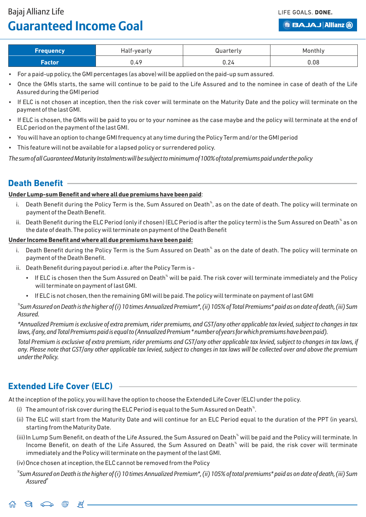LIFE GOALS, DONE.

**BBAJAJ Allianz (ii)** 

| <b>Frequency</b> | Half-yearly | Quarterly | Monthly |
|------------------|-------------|-----------|---------|
| Factor/          | 0.49        | U.Z4      | 0.08    |

- For a paid-up policy,the GMI percentages (as above) will be applied on the paid-up sum assured.
- Once the GMIs starts, the same will continue to be paid to the Life Assured and to the nominee in case of death of the Life Assured during the GMI period
- If ELC is not chosen at inception, then the risk cover will terminate on the Maturity Date and the policy will terminate on the payment of the last GMI.
- If ELC is chosen, the GMIs will be paid to you or to your nominee as the case maybe and the policy will terminate at the end of ELC period on the payment of the last GMI.
- You will have an option to change GMI frequency at any time during the Policy Term and/or the GMI period
- This feature will not be available for a lapsed policy or surrendered policy.

*The sum of all Guaranteed Maturity Instalments will be subject to minimum of 100% of total premiums paid under the policy*

## **Death Benefit**

#### **Under Lump-sum Benefit and where all due premiums have been paid**:

- i. Death Benefit during the Policy Term is the, Sum Assured on Death $^*$ , as on the date of death. The policy will terminate on payment of the Death Benefit.
- ii. Death Benefit during the ELC Period (only if chosen) (ELC Period is after the policy term) is the Sum Assured on Death $^{\ast}$  as on the date of death. The policy will terminate on payment of the Death Benefit

#### **Under Income Benefit and where all due premiums have been paid:**

- i. Death Benefit during the Policy Term is the Sum Assured on Death $^*$  as on the date of death. The policy will terminate on payment of the Death Benefit.
- ii. Death Benefit during payout period i.e.after the Policy Term is
	- If ELC is chosen then the Sum Assured on Death<sup>®</sup> will be paid. The risk cover will terminate immediately and the Policy will terminate on payment of last GMI.
	- If ELC is not chosen, then the remaining GMI will be paid. The policy will terminate on payment of last GMI

*% Sum Assured on Death is the higher of (i) 10 times Annualized Premium\*, (ii) 105% of Total Premiums\* paid as on date of death, (iii) Sum Assured.*

*\*Annualized Premium is exclusive of extra premium, rider premiums, and GST/any other applicable tax levied, subject to changes in tax laws, if any, and Total Premiums paid is equal to (Annualized Premium \* number of years for which premiums have been paid).*

*Total Premium is exclusive of extra premium, rider premiums and GST/any other applicable tax levied, subject to changes in tax laws, if any. Please note that GST/any other applicable tax levied, subject to changes in tax laws will be collected over and above the premium under the Policy.*

## **Extended Life Cover (ELC)**

At the inception of the policy, you will have the option to choose the Extended Life Cover (ELC) under the policy.

- (i) The amount of risk cover during the ELC Period is equal to the Sum Assured on Death $\mathrm{``}.$
- (ii) The ELC will start from the Maturity Date and will continue for an ELC Period equal to the duration of the PPT (in years), starting from the Maturity Date.
- (iii) In Lump Sum Benefit, on death of the Life Assured, the Sum Assured on Death $^*$  will be paid and the Policy will terminate. In Income Benefit, on death of the Life Assured, the Sum Assured on Death<sup>%</sup> will be paid, the risk cover will terminate immediately and the Policy will terminate on the payment of the last GMI.

(iv) Once chosen at inception, the ELC cannot be removed from the Policy

*% Sum Assured on Death is the higher of (i) 10 times Annualized Premium\*, (ii) 105% of total premiums\* paid as on date of death, (iii) Sum # Assured*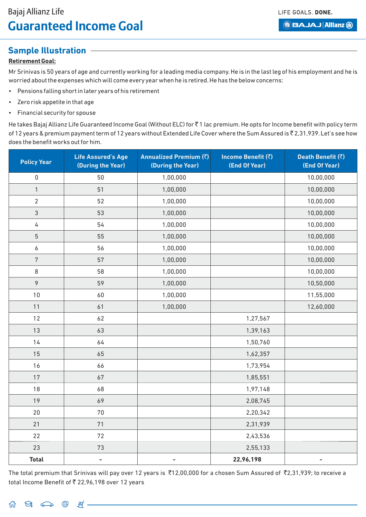**BBAJAJ Allianz (ii)** 

## **Sample Illustration**

### **Retirement Goal:**

Mr Srinivas is 50 years of age and currently working for a leading media company.He is in the last leg of his employment and he is worried about the expenses which will come every year when he is retired.He has the below concerns:

- Pensions falling short in later years of his retirement
- Zero risk appetite in that age
- Financial security for spouse

He takes Bajaj Allianz Life Guaranteed Income Goal (Without ELC) for ₹1 lac premium. He opts for Income benefit with policy term of 12 years & premium payment term of 12 years without Extended Life Cover where the Sum Assured is ₹ 2,31,939. Let's see how does the benefit works out for him.

| <b>Policy Year</b> | <b>Life Assured's Age</b><br>(During the Year) | Annualized Premium (₹)<br>(During the Year) | Income Benefit (₹)<br>(End Of Year) | Death Benefit (₹)<br>(End Of Year) |
|--------------------|------------------------------------------------|---------------------------------------------|-------------------------------------|------------------------------------|
| $\mathbf 0$        | 50                                             | 1,00,000                                    |                                     | 10,00,000                          |
| $\mathbf{1}$       | 51                                             | 1,00,000                                    |                                     | 10,00,000                          |
| $\overline{2}$     | 52                                             | 1,00,000                                    |                                     | 10,00,000                          |
| $\mathfrak{S}$     | 53                                             | 1,00,000                                    |                                     | 10,00,000                          |
| $\sqrt{4}$         | 54                                             | 1,00,000                                    |                                     | 10,00,000                          |
| $\sqrt{5}$         | 55                                             | 1,00,000                                    |                                     | 10,00,000                          |
| $\boldsymbol{6}$   | 56                                             | 1,00,000                                    |                                     | 10,00,000                          |
| $\sqrt{7}$         | 57                                             | 1,00,000                                    |                                     | 10,00,000                          |
| 8                  | 58                                             | 1,00,000                                    |                                     | 10,00,000                          |
| $\mathcal{P}$      | 59                                             | 1,00,000                                    |                                     | 10,50,000                          |
| 10                 | 60                                             | 1,00,000                                    |                                     | 11,55,000                          |
| 11                 | 61                                             | 1,00,000                                    |                                     | 12,60,000                          |
| 12                 | 62                                             |                                             | 1,27,567                            |                                    |
| 13                 | 63                                             |                                             | 1,39,163                            |                                    |
| 14                 | 64                                             |                                             | 1,50,760                            |                                    |
| 15                 | 65                                             |                                             | 1,62,357                            |                                    |
| 16                 | 66                                             |                                             | 1,73,954                            |                                    |
| 17                 | 67                                             |                                             | 1,85,551                            |                                    |
| 18                 | 68                                             |                                             | 1,97,148                            |                                    |
| 19                 | 69                                             |                                             | 2,08,745                            |                                    |
| 20                 | 70                                             |                                             | 2,20,342                            |                                    |
| 21                 | 71                                             |                                             | 2,31,939                            |                                    |
| 22                 | $72\,$                                         |                                             | 2,43,536                            |                                    |
| 23                 | $73\,$                                         |                                             | 2,55,133                            |                                    |
| <b>Total</b>       | $\overline{\phantom{0}}$                       | $\overline{a}$                              | 22,96,198                           | $\qquad \qquad \blacksquare$       |

The total premium that Srinivas will pay over 12 years is  $\bar{\tau}$ 12,00,000 for a chosen Sum Assured of  $\bar{\tau}$ 2,31,939; to receive a total Income Benefit of  $\bar{\tau}$  22,96,198 over 12 years

 $\begin{picture}(160,170) \put(0,0){\makebox(0,0){$B$}} \put(15,0){\makebox(0,0){$B$}} \put(15,0){\makebox(0,0){$B$}} \put(15,0){\makebox(0,0){$B$}} \put(15,0){\makebox(0,0){$B$}} \put(15,0){\makebox(0,0){$B$}} \put(15,0){\makebox(0,0){$B$}} \put(15,0){\makebox(0,0){$B$}} \put(15,0){\makebox(0,0){$B$}} \put(15,0){\makebox(0,0){$B$}} \put(15,0){$ 夼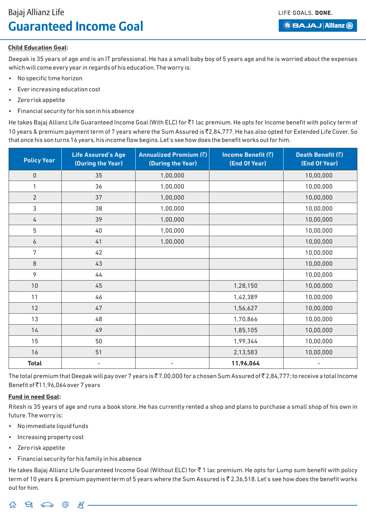**BBAJAJ Allianz (ii)** 

### **Child Education Goal:**

Deepak is 35 years of age and is an IT professional. He has a small baby boy of 5 years age and he is worried about the expenses which will come every year in regards of his education.The worry is:

- No specific time horizon
- Ever increasing education cost
- Zero risk appetite
- Financial security for his son in his absence

He takes Bajaj Allianz Life Guaranteed Income Goal (With ELC) for ₹1 lac premium. He opts for Income benefit with policy term of 10 years & premium payment term of 7 years where the Sum Assured is ₹2,84,777. He has also opted for Extended Life Cover. So that once his son turns 16 years, his income flow begins. Let's see how does the benefit works out for him.

| <b>Policy Year</b> | <b>Life Assured's Age</b><br>(During the Year) | Annualized Premium (₹)<br>(During the Year) | <b>Income Benefit (₹)</b><br>(End Of Year) | Death Benefit (₹)<br>(End Of Year) |
|--------------------|------------------------------------------------|---------------------------------------------|--------------------------------------------|------------------------------------|
| $\mathbf 0$        | 35                                             | 1,00,000                                    |                                            | 10,00,000                          |
| 1                  | 36                                             | 1,00,000                                    |                                            | 10,00,000                          |
| $\overline{2}$     | 37                                             | 1,00,000                                    |                                            | 10,00,000                          |
| $\mathfrak{Z}$     | 38                                             | 1,00,000                                    |                                            | 10,00,000                          |
| $\overline{4}$     | 39                                             | 1,00,000                                    |                                            | 10,00,000                          |
| $5\phantom{.0}$    | 40                                             | 1,00,000                                    |                                            | 10,00,000                          |
| 6                  | 41                                             | 1,00,000                                    |                                            | 10,00,000                          |
| 7                  | 42                                             |                                             |                                            | 10,00,000                          |
| $\,8\,$            | 43                                             |                                             |                                            | 10,00,000                          |
| 9                  | 44                                             |                                             |                                            | 10,00,000                          |
| $10$               | 45                                             |                                             | 1,28,150                                   | 10,00,000                          |
| 11                 | 46                                             |                                             | 1,42,389                                   | 10,00,000                          |
| 12                 | 47                                             |                                             | 1,56,627                                   | 10,00,000                          |
| 13                 | 48                                             |                                             | 1,70,866                                   | 10,00,000                          |
| 14                 | 49                                             |                                             | 1,85,105                                   | 10,00,000                          |
| 15                 | 50                                             |                                             | 1,99,344                                   | 10,00,000                          |
| 16                 | 51                                             |                                             | 2,13,583                                   | 10,00,000                          |
| <b>Total</b>       | $\overline{\phantom{a}}$                       | $\overline{\phantom{a}}$                    | 11,96,064                                  | $\overline{\phantom{a}}$           |

The total premium that Deepak will pay over 7 years is  $\bar{z}$  7,00,000 for a chosen Sum Assured of  $\bar{z}$  2,84,777; to receive a total Income Benefit of `11,96,064 over 7 years

### **Fund in need Goal:**

Ritesh is 35 years of age and runs a book store. He has currently rented a shop and plans to purchase a small shop of his own in future.The worry is:

- No immediate liquid funds
- Increasing property cost
- Zero risk appetite
- Financial security for his family in his absence

He takes Bajaj Allianz Life Guaranteed Income Goal (Without ELC) for ₹1 lac premium. He opts for Lump sum benefit with policy term of 10 years & premium payment term of 5 years where the Sum Assured is ₹ 2,36,518. Let's see how does the benefit works out for him.

 $\Theta_1 \circledcirc\hspace{0.1cm} \oplus \hspace{0.1cm} \oplus \hspace{0.1cm} \oplus \hspace{0.1cm} \hspace{0.1cm} \neq -$ 夼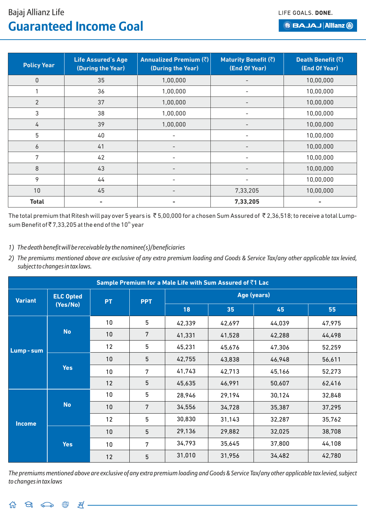LIFE GOALS. DONE.

## Bajaj Allianz Life **Guaranteed Income Goal**

**BBAJAJ Allianz (ii)** 

| <b>Policy Year</b> | <b>Life Assured's Age</b><br>(During the Year) | Annualized Premium (₹)<br>(During the Year) | <b>Maturity Benefit (₹)</b><br>(End Of Year) | Death Benefit (₹)<br>(End Of Year) |
|--------------------|------------------------------------------------|---------------------------------------------|----------------------------------------------|------------------------------------|
| $\pmb{0}$          | 35                                             | 1,00,000                                    | $\overline{\phantom{a}}$                     | 10,00,000                          |
|                    | 36                                             | 1,00,000                                    |                                              | 10,00,000                          |
| $\overline{2}$     | 37                                             | 1,00,000                                    | $\overline{\phantom{a}}$                     | 10,00,000                          |
| 3                  | 38                                             | 1,00,000                                    | $\overline{\phantom{a}}$                     | 10,00,000                          |
| 4                  | 39                                             | 1,00,000                                    | $\overline{\phantom{a}}$                     | 10,00,000                          |
| 5                  | 40                                             | $\overline{\phantom{a}}$                    | $\overline{\phantom{a}}$                     | 10,00,000                          |
| $\boldsymbol{6}$   | 41                                             |                                             | $\overline{\phantom{a}}$                     | 10,00,000                          |
| 7                  | 42                                             |                                             |                                              | 10,00,000                          |
| $8\,$              | 43                                             | $\qquad \qquad$                             | $\overline{\phantom{a}}$                     | 10,00,000                          |
| 9                  | 44                                             | $\overline{\phantom{a}}$                    | ۰                                            | 10,00,000                          |
| 10                 | 45                                             |                                             | 7,33,205                                     | 10,00,000                          |
| <b>Total</b>       |                                                |                                             | 7,33,205                                     |                                    |

The total premium that Ritesh will pay over 5 years is  $\bar{\tau}$  5,00,000 for a chosen Sum Assured of  $\bar{\tau}$  2,36,518; to receive a total Lumpsum Benefit of  $\bar{\mathfrak{c}}$  7,33,205 at the end of the 10<sup>th</sup> year

*1) The death benefit will be receivable by the nominee(s)/beneficiaries*

*2) The premiums mentioned above are exclusive of any extra premium loading and Goods & Service Tax/any other applicable tax levied, subject to changes in tax laws.*

|                |                  |           |            |        | Sample Premium for a Male Life with Sum Assured of ₹1 Lac |        |        |  |  |  |
|----------------|------------------|-----------|------------|--------|-----------------------------------------------------------|--------|--------|--|--|--|
| <b>Variant</b> | <b>ELC Opted</b> | <b>PT</b> | <b>PPT</b> |        | Age (years)                                               |        |        |  |  |  |
|                | (Yes/No)         |           |            | 18     | 35                                                        | 45     | 55     |  |  |  |
|                |                  | 10        | 5          | 42,339 | 42,697                                                    | 44,039 | 47,975 |  |  |  |
| Lump-sum       | <b>No</b>        | 10        | 7          | 41,331 | 41,528                                                    | 42,288 | 44,498 |  |  |  |
|                |                  | 12        | 5          | 45,231 | 45,676                                                    | 47,306 | 52,259 |  |  |  |
|                | <b>Yes</b>       | 10        | 5          | 42,755 | 43,838                                                    | 46,948 | 56,611 |  |  |  |
|                |                  | 10        | 7          | 41,743 | 42,713                                                    | 45,166 | 52,273 |  |  |  |
|                |                  | 12        | 5          | 45,635 | 46,991                                                    | 50,607 | 62,416 |  |  |  |
|                |                  | 10        | 5          | 28,946 | 29,194                                                    | 30,124 | 32,848 |  |  |  |
|                | <b>No</b>        | 10        | 7          | 34,556 | 34,728                                                    | 35,387 | 37,295 |  |  |  |
| <b>Income</b>  |                  | 12        | 5          | 30,830 | 31,143                                                    | 32,287 | 35,762 |  |  |  |
|                |                  | 10        | 5          | 29,136 | 29,882                                                    | 32,025 | 38,708 |  |  |  |
|                | <b>Yes</b>       | 10        | 7          | 34,793 | 35,645                                                    | 37,800 | 44,108 |  |  |  |
|                |                  | 12        | 5          | 31,010 | 31,956                                                    | 34,482 | 42,780 |  |  |  |

*The premiums mentioned above are exclusive of any extra premium loading and Goods & Service Tax/any other applicable tax levied, subject to changes in tax laws*

 $\Theta_1 \circledcirc \bullet \circledast \circledast =$ 奋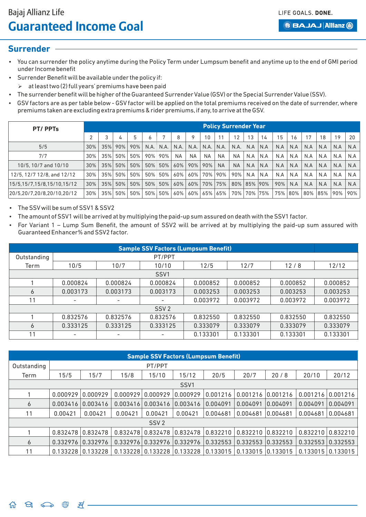LIFE GOALS, DONE.

**BBAJAJ Allianz (ii)** 

### **Surrender**

- You can surrender the policy anytime during the Policy Term under Lumpsum benefit and anytime up to the end of GMI period under Income benefit
- Surrender Benefit will be available under the policy if:
- $\triangleright$  at least two (2) full years' premiums have been paid
- The surrender benefit will be higher of the Guaranteed Surrender Value (GSV) or the Special Surrender Value (SSV).
- GSV factors are as per table below GSV factor will be applied on the total premiums received on the date of surrender, where premiums taken are excluding extra premiums & rider premiums,if any,to arrive at the GSV.

| PT/PPTs                    |        | <b>Policy Surrender Year</b> |     |     |              |         |           |           |           |           |           |         |      |     |     |     |     |     |     |
|----------------------------|--------|------------------------------|-----|-----|--------------|---------|-----------|-----------|-----------|-----------|-----------|---------|------|-----|-----|-----|-----|-----|-----|
|                            |        |                              | 4   |     | <sub>6</sub> |         | 8         |           | 10        | 11        | 12        | 13      | 14   | 15  | 6   | 17  | 18  | 19  | 20  |
| 5/5                        | 30%    | 35%                          | 90% | 90% | N.A.         | N.A.    | N.A.      | N.A.      | N.A.      | N.A.      | N.A.      | N.A     | IN.A | N.A | N.A | N.A | N.A | N.A | N.A |
| 7/7                        | 30%    | 35%                          | 50% | 50% | 90%          | 90%     | <b>NA</b> | <b>NA</b> | <b>NA</b> | <b>NA</b> | <b>NA</b> | N.A     | N.A  | N.A | N.A | N.A | N.A | N.A | N.A |
| 10/5, 10/7 and 10/10       | 30%    | 35%                          | 50% | 50% |              | 50% 50% | 60%       | 90%       | 90%       | <b>NA</b> | <b>NA</b> | N.A     | N.A  | N.A | N.A | N.A | N.A | N.A | N.A |
| 12/5, 12/7 12/8, and 12/12 | 30%    | 35%                          | 50% | 50% | 50%          | 50%     | 60%       | 60%       | 70%       | 90%       | 90%       | N.A     | N.A  | N.A | N.A | N.A | N.A | N.A | N.A |
| 15/5,15/7,15/8,15/10,15/12 | $30\%$ | 35%                          | 50% | 50% |              | 50% 50% | 60%       | 60%       |           | 70% 75%   | 80%       | 85% 90% |      | 90% | N.A | N.A | N.A | N.A | N.A |
| 20/5.20/7.20/8.20/10.20/12 | 30%    | 35%                          | 50% | 50% | 50%          | 50%     | 60%       | 60%       | 65%       | 65%       | 70%       | 70% 75% |      | 75% | 80% | 80% | 85% | 90% | 90% |

The SSV will be sum of SSV1 & SSV2

- The amount of SSV1 will be arrived at by multiplying the paid-up sum assured on death with the SSV1 factor.
- For Variant 1 Lump Sum Benefit, the amount of SSV2 will be arrived at by multiplying the paid-up sum assured with Guaranteed Enhancer% and SSV2 factor.

|                  | <b>Sample SSV Factors (Lumpsum Benefit)</b> |                          |                          |          |          |          |          |  |  |  |  |  |
|------------------|---------------------------------------------|--------------------------|--------------------------|----------|----------|----------|----------|--|--|--|--|--|
| Outstanding      |                                             | PT/PPT                   |                          |          |          |          |          |  |  |  |  |  |
| Term             | 10/5                                        | 10/7                     | 10/10                    | 12/5     | 12/7     | 12/8     | 12/12    |  |  |  |  |  |
| SSV <sub>1</sub> |                                             |                          |                          |          |          |          |          |  |  |  |  |  |
|                  | 0.000824                                    | 0.000824                 | 0.000824                 | 0.000852 | 0.000852 | 0.000852 | 0.000852 |  |  |  |  |  |
| 6                | 0.003173                                    | 0.003173                 | 0.003173                 | 0.003253 | 0.003253 | 0.003253 | 0.003253 |  |  |  |  |  |
| 11               | -                                           | $\overline{\phantom{a}}$ | $\overline{\phantom{a}}$ | 0.003972 | 0.003972 | 0.003972 | 0.003972 |  |  |  |  |  |
|                  |                                             |                          | SSV <sub>2</sub>         |          |          |          |          |  |  |  |  |  |
|                  | 0.832576                                    | 0.832576                 | 0.832576                 | 0.832550 | 0.832550 | 0.832550 | 0.832550 |  |  |  |  |  |
| 6                | 0.333125                                    | 0.333125                 | 0.333125                 | 0.333079 | 0.333079 | 0.333079 | 0.333079 |  |  |  |  |  |
| 11               |                                             |                          |                          | 0.133301 | 0.133301 | 0.133301 | 0.133301 |  |  |  |  |  |

|             | <b>Sample SSV Factors (Lumpsum Benefit)</b> |          |          |                       |          |          |                   |          |                          |                       |  |  |  |
|-------------|---------------------------------------------|----------|----------|-----------------------|----------|----------|-------------------|----------|--------------------------|-----------------------|--|--|--|
| Outstanding |                                             | PT/PPT   |          |                       |          |          |                   |          |                          |                       |  |  |  |
| Term        | 15/5                                        | 15/7     | 15/8     | 15/10                 | 15/12    | 20/5     | 20/7              | 20/8     | 20/10                    | 20/12                 |  |  |  |
| SSV1        |                                             |          |          |                       |          |          |                   |          |                          |                       |  |  |  |
|             | 0.000929                                    | 0.000929 | 0.000929 | 0.000929              | 0.000929 | 0.001216 | 0.001216          | 0.001216 | 0.001216                 | 0.001216              |  |  |  |
| 6           | 0.003416                                    | 0.003416 | 0.003416 | 0.003416              | 0.003416 | 0.004091 | 0.004091          | 0.004091 | 0.004091                 | 0.004091              |  |  |  |
| 11          | 0.00421                                     | 0.00421  | 0.00421  | 0.00421               | 0.00421  | 0.004681 | 0.004681          | 0.004681 | 0.004681                 | 0.004681              |  |  |  |
|             |                                             |          |          | SSV <sub>2</sub>      |          |          |                   |          |                          |                       |  |  |  |
|             | 0.832478                                    | 0.832478 | 0.832478 | 0.832478              | 0.832478 | 0.832210 | 0.832210          | 0.832210 | $0.832210$ $0.832210$    |                       |  |  |  |
| 6           | 0.332976                                    | 0.332976 | 0.332976 | 0.332976              | 0.332976 | 0.332553 | 0.332553          | 0.332553 | $0.332553 \mid 0.332553$ |                       |  |  |  |
| 11          | 0.133228                                    | 0.133228 |          | $0.133228$ $0.133228$ | 0.133228 | 0.133015 | 0.133015 0.133015 |          |                          | $0.133015$ $0.133015$ |  |  |  |

 $\Theta_1$   $\Longleftrightarrow$   $\oplus$   $\mathbb{R}$ . 奋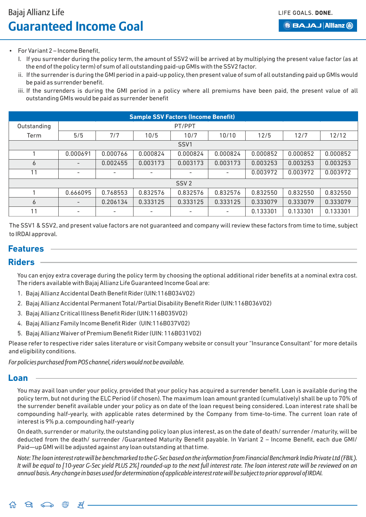LIFE GOALS, DONE.

## Bajaj Allianz Life **Guaranteed Income Goal**

**BBAJAJ Allianz (ii)** 

- For Variant 2 Income Benefit,
	- I. If you surrender during the policy term, the amount of SSV2 will be arrived at by multiplying the present value factor (as at the end of the policy term) of sum of all outstanding paid-up GMIs with the SSV2 factor.
	- ii. If the surrender is during the GMI period in a paid-up policy, then present value of sum of all outstanding paid up GMIs would be paid as surrender benefit.
	- iii. If the surrenders is during the GMI period in a policy where all premiums have been paid, the present value of all outstanding GMIs would be paid as surrender benefit

|             | <b>Sample SSV Factors (Income Benefit)</b> |                          |                          |                  |          |          |          |          |  |  |  |  |  |
|-------------|--------------------------------------------|--------------------------|--------------------------|------------------|----------|----------|----------|----------|--|--|--|--|--|
| Outstanding |                                            | PT/PPT                   |                          |                  |          |          |          |          |  |  |  |  |  |
| Term        | 5/5                                        | 7/7                      | 10/5                     | 10/10            | 12/5     | 12/7     | 12/12    |          |  |  |  |  |  |
| SSV1        |                                            |                          |                          |                  |          |          |          |          |  |  |  |  |  |
|             | 0.000691                                   | 0.000766                 | 0.000824                 | 0.000824         | 0.000824 | 0.000852 | 0.000852 | 0.000852 |  |  |  |  |  |
| 6           | $\overline{\phantom{0}}$                   | 0.002455                 | 0.003173                 | 0.003173         | 0.003173 | 0.003253 | 0.003253 | 0.003253 |  |  |  |  |  |
| 11          | ٠                                          | $\overline{\phantom{a}}$ | $\overline{\phantom{a}}$ |                  |          | 0.003972 | 0.003972 | 0.003972 |  |  |  |  |  |
|             |                                            |                          |                          | SSV <sub>2</sub> |          |          |          |          |  |  |  |  |  |
|             | 0.666095                                   | 0.768553                 | 0.832576                 | 0.832576         | 0.832576 | 0.832550 | 0.832550 | 0.832550 |  |  |  |  |  |
| 6           |                                            | 0.206134                 | 0.333125                 | 0.333125         | 0.333125 | 0.333079 | 0.333079 | 0.333079 |  |  |  |  |  |
| 11          | $\overline{\phantom{0}}$                   | $\overline{\phantom{a}}$ | -                        |                  |          | 0.133301 | 0.133301 | 0.133301 |  |  |  |  |  |

The SSV1 & SSV2, and present value factors are not guaranteed and company will review these factors from time to time, subject to IRDAI approval.

## **Features**

### **Riders**

You can enjoy extra coverage during the policy term by choosing the optional additional rider benefits at a nominal extra cost. The riders available with Bajaj Allianz Life Guaranteed Income Goal are:

- 1. Bajaj Allianz Accidental Death Benefit Rider (UIN:116B034V02)
- 2. Bajaj Allianz Accidental Permanent Total/Partial Disability Benefit Rider (UIN:116B036V02)
- 3. Bajaj Allianz Critical Illness Benefit Rider (UIN:116B035V02)
- 4. Bajaj Allianz Family Income Benefit Rider (UIN:116B037V02)
- 5. Bajaj Allianz Waiver of Premium Benefit Rider (UIN: 116B031V02)

Please refer to respective rider sales literature or visit Company website or consult your "Insurance Consultant" for more details and eligibility conditions.

*For policies purchased from POS channel, riders would not be available.*

### **Loan**

You may avail loan under your policy, provided that your policy has acquired a surrender benefit. Loan is available during the policy term, but not during the ELC Period (if chosen). The maximum loan amount granted (cumulatively) shall be up to 70% of the surrender benefit available under your policy as on date of the loan request being considered. Loan interest rate shall be compounding half-yearly, with applicable rates determined by the Company from time-to-time. The current loan rate of interest is 9% p.a. compounding half-yearly

On death, surrender or maturity, the outstanding policy loan plus interest, as on the date of death/ surrender /maturity, will be deducted from the death/ surrender /Guaranteed Maturity Benefit payable. In Variant 2 – Income Benefit, each due GMI/ Paid—up GMI will be adjusted against any loan outstanding at that time.

*Note: The loan interest rate will be benchmarked to the G-Sec based on the information from Financial Benchmark India Private Ltd (FBIL). It will be equal to [10-year G-Sec yield PLUS 2%] rounded-up to the next full interest rate. The loan interest rate will be reviewed on an annual basis. Any change in bases used for determination of applicable interest rate will be subject to prior approval of IRDAI.*

 $\Theta_1 \circ \bullet \circ \bullet \circ \bullet \circ \bullet = A$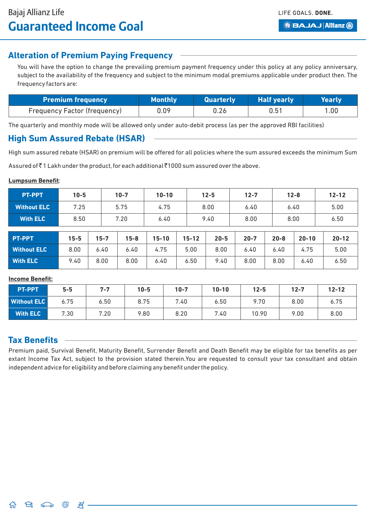## **Alteration of Premium Paying Frequency**

You will have the option to change the prevailing premium payment frequency under this policy at any policy anniversary, subject to the availability of the frequency and subject to the minimum modal premiums applicable under product then. The frequency factors are:

| Premium frequency $^\top$    | <b>Monthly</b> | <b>Quarterly</b> | <b>Half yearly</b> | Yearly |
|------------------------------|----------------|------------------|--------------------|--------|
| Frequency Factor (frequency) | 0.09           | 0.26             | 0.51               | 1.00   |

The quarterly and monthly mode will be allowed only under auto-debit process (as per the approved RBI facilities)

## **High Sum Assured Rebate (HSAR)**

High sum assured rebate (HSAR) on premium will be offered for all policies where the sum assured exceeds the minimum Sum

Assured of  $\bar{z}$  1 Lakh under the product, for each additional  $\bar{z}$ 1000 sum assured over the above.

#### **Lumpsum Benefit**:

| <b>PT-PPT</b>      | $10 - 5$     |          | $10 - 7$ | $10 - 10$ |      | $12 - 5$     |          | $12 - 7$ |      | $12 - 8$ |           | $12 - 12$ |           |
|--------------------|--------------|----------|----------|-----------|------|--------------|----------|----------|------|----------|-----------|-----------|-----------|
| <b>Without ELC</b> | 7.25         |          | 5.75     | 4.75      |      | 8.00<br>6.40 |          |          | 6.40 |          | 5.00      |           |           |
| <b>With ELC</b>    | 8.50<br>7.20 |          |          | 6.40      | 9.40 |              | 8.00     |          |      | 8.00     |           | 6.50      |           |
|                    |              |          |          |           |      |              |          |          |      |          |           |           |           |
| PT-PPT             | $15 - 5$     | $15 - 7$ | $15 - 8$ | $15 - 10$ |      | $15 - 12$    | $20 - 5$ | $20 - 7$ |      | $20 - 8$ | $20 - 10$ |           | $20 - 12$ |
| <b>Without ELC</b> | 8.00         | 6.40     | 6.40     | 4.75      |      | 5.00         | 8.00     | 6.40     |      | 6.40     | 4.75      |           | 5.00      |
| <b>With ELC</b>    | 9.40         | 8.00     | 8.00     | 6.40      |      | 6.50         | 9.40     | 8.00     |      | 8.00     | 6.40      |           | 6.50      |

#### **Income Benefit:**

| <b>PT-PPT</b>      | $5 - 5$ | $7 - 7$ | $10 - 5$ | $10 - 7$ | $10 - 10$ | $12 - 5$ | $12 - 7$ | $12 - 12$ |
|--------------------|---------|---------|----------|----------|-----------|----------|----------|-----------|
| <b>Without ELC</b> | 6.75    | 6.50    | 8.75     | 7.40     | 6.50      | 9.70     | 8.00     | 6.75      |
| <b>With ELC</b>    | 7.30    | 7.20    | 9.80     | 8.20     | 7.40      | 10.90    | 9.00     | 8.00      |

## **Tax Benefits**

Premium paid, Survival Benefit, Maturity Benefit, Surrender Benefit and Death Benefit may be eligible for tax benefits as per extant Income Tax Act, subject to the provision stated therein.You are requested to consult your tax consultant and obtain independent advice for eligibility and before claiming any benefit under the policy.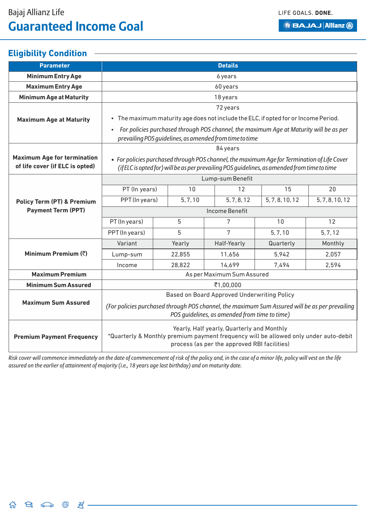## **Eligibility Condition**

| <b>Parameter</b>                                                      | <b>Details</b>                                                                                                                                                                              |  |          |  |                                                                                        |                 |                 |  |  |
|-----------------------------------------------------------------------|---------------------------------------------------------------------------------------------------------------------------------------------------------------------------------------------|--|----------|--|----------------------------------------------------------------------------------------|-----------------|-----------------|--|--|
| <b>Minimum Entry Age</b>                                              |                                                                                                                                                                                             |  |          |  | 6 years                                                                                |                 |                 |  |  |
| <b>Maximum Entry Age</b>                                              | 60 years                                                                                                                                                                                    |  |          |  |                                                                                        |                 |                 |  |  |
| <b>Minimum Age at Maturity</b>                                        | 18 years                                                                                                                                                                                    |  |          |  |                                                                                        |                 |                 |  |  |
|                                                                       | 72 years                                                                                                                                                                                    |  |          |  |                                                                                        |                 |                 |  |  |
| <b>Maximum Age at Maturity</b>                                        |                                                                                                                                                                                             |  |          |  | • The maximum maturity age does not include the ELC, if opted for or Income Period.    |                 |                 |  |  |
|                                                                       |                                                                                                                                                                                             |  |          |  | For policies purchased through POS channel, the maximum Age at Maturity will be as per |                 |                 |  |  |
|                                                                       |                                                                                                                                                                                             |  |          |  | prevailing POS guidelines, as amended from time to time                                |                 |                 |  |  |
|                                                                       |                                                                                                                                                                                             |  |          |  | 84 years                                                                               |                 |                 |  |  |
| <b>Maximum Age for termination</b><br>of life cover (if ELC is opted) | • For policies purchased through POS channel, the maximum Age for Termination of Life Cover<br>(if ELC is opted for) will be as per prevailing POS guidelines, as amended from time to time |  |          |  |                                                                                        |                 |                 |  |  |
|                                                                       |                                                                                                                                                                                             |  |          |  | Lump-sum Benefit                                                                       |                 |                 |  |  |
|                                                                       | PT (In years)                                                                                                                                                                               |  | 10       |  | 12                                                                                     | 15              | 20              |  |  |
| <b>Policy Term (PT) &amp; Premium</b>                                 | PPT (In years)                                                                                                                                                                              |  | 5, 7, 10 |  | 5, 7, 8, 12                                                                            | 5, 7, 8, 10, 12 | 5, 7, 8, 10, 12 |  |  |
| <b>Payment Term (PPT)</b>                                             | <b>Income Benefit</b>                                                                                                                                                                       |  |          |  |                                                                                        |                 |                 |  |  |
|                                                                       | PT (In years)                                                                                                                                                                               |  | 5        |  | 7                                                                                      | 10              | 12              |  |  |
|                                                                       | PPT (In years)                                                                                                                                                                              |  | 5        |  | 7                                                                                      | 5, 7, 10        | 5, 7, 12        |  |  |
|                                                                       | Variant                                                                                                                                                                                     |  | Yearly   |  | Half-Yearly                                                                            | Quarterly       | Monthly         |  |  |
| Minimum Premium (₹)                                                   | Lump-sum                                                                                                                                                                                    |  | 22,855   |  | 11,656                                                                                 | 5,942           | 2,057           |  |  |
|                                                                       | Income                                                                                                                                                                                      |  | 28,822   |  | 14,699                                                                                 | 7,494           | 2,594           |  |  |
| <b>Maximum Premium</b>                                                | As per Maximum Sum Assured                                                                                                                                                                  |  |          |  |                                                                                        |                 |                 |  |  |
| <b>Minimum Sum Assured</b>                                            | ₹1,00,000                                                                                                                                                                                   |  |          |  |                                                                                        |                 |                 |  |  |
|                                                                       | Based on Board Approved Underwriting Policy                                                                                                                                                 |  |          |  |                                                                                        |                 |                 |  |  |
| <b>Maximum Sum Assured</b>                                            | (For policies purchased through POS channel, the maximum Sum Assured will be as per prevailing                                                                                              |  |          |  |                                                                                        |                 |                 |  |  |
|                                                                       | POS quidelines, as amended from time to time)                                                                                                                                               |  |          |  |                                                                                        |                 |                 |  |  |
|                                                                       | Yearly, Half yearly, Quarterly and Monthly                                                                                                                                                  |  |          |  |                                                                                        |                 |                 |  |  |
| <b>Premium Payment Frequency</b>                                      | *Quarterly & Monthly premium payment frequency will be allowed only under auto-debit<br>process (as per the approved RBI facilities)                                                        |  |          |  |                                                                                        |                 |                 |  |  |

*Risk cover will commence immediately on the date of commencement of risk of the policy and, in the case of a minor life, policy will vest on the life assured on the earlier of attainment of majority (i.e., 18 years age last birthday) and on maturity date.*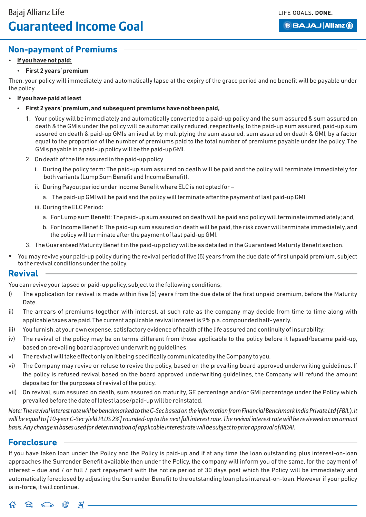**BBAJAJ Allianz (ii)** 

## **Non-payment of Premiums**

### **If you have not paid:**

### **First 2 years' premium**

Then, your policy will immediately and automatically lapse at the expiry of the grace period and no benefit will be payable under the policy.

#### **If you have paid at least**

- **First 2 years' premium,and subsequent premiums have not been paid,**
	- 1. Your policy will be immediately and automatically converted to a paid-up policy and the sum assured & sum assured on death & the GMIs under the policy will be automatically reduced, respectively,to the paid-up sum assured, paid-up sum assured on death & paid-up GMIs arrived at by multiplying the sum assured, sum assured on death & GMI, by a factor equal to the proportion of the number of premiums paid to the total number of premiums payable under the policy. The GMIs payable in a paid-up policy will be the paid-up GMI.
	- 2. On death of the life assured in the paid-up policy
		- i. During the policy term: The paid-up sum assured on death will be paid and the policy will terminate immediately for both variants (Lump Sum Benefit and Income Benefit).
		- ii. During Payout period under Income Benefit where ELC is not opted for
			- a. The paid-up GMI will be paid and the policy will terminate after the payment of last paid-up GMI
		- iii. During the ELC Period:
			- a. For Lump sum Benefit: The paid-up sum assured on death will be paid and policy will terminate immediately; and,
			- b. For Income Benefit: The paid-up sum assured on death will be paid, the risk cover will terminate immediately, and the policy will terminate after the payment of last paid-up GMI.
	- 3. The Guaranteed Maturity Benefit in the paid-up policy will be as detailed in the Guaranteed Maturity Benefit section.
- You may revive your paid-up policy during the revival period of five (5) years from the due date of first unpaid premium, subject to the revival conditions under the policy.

## **Revival**

You can revive your lapsed or paid-up policy, subject to the following conditions;

- I) The application for revival is made within five (5) years from the due date of the first unpaid premium, before the Maturity Date.
- ii) The arrears of premiums together with interest, at such rate as the company may decide from time to time along with applicable taxes are paid.The current applicable revival interest is 9% p.a. compounded half- yearly.
- iii) You furnish, at your own expense, satisfactory evidence of health of the life assured and continuity of insurability;
- iv) The revival of the policy may be on terms different from those applicable to the policy before it lapsed/became paid-up, based on prevailing board approved underwriting guidelines.
- v) The revival will take effect only on it being specifically communicated by the Company to you.
- vi) The Company may revive or refuse to revive the policy, based on the prevailing board approved underwriting guidelines. If the policy is refused revival based on the board approved underwriting guidelines, the Company will refund the amount deposited for the purposes of revival of the policy.
- vii) On revival, sum assured on death, sum assured on maturity, GE percentage and/or GMI percentage under the Policy which prevailed before the date of latest lapse/paid-up will be reinstated.

*Note: The revival interest rate will be benchmarked to the G-Sec based on the information from Financial Benchmark India Private Ltd (FBIL). It will be equal to [10-year G-Sec yield PLUS 2%] rounded-up to the next full interest rate. The revival interest rate will be reviewed on an annual basis. Any change in bases used for determination of applicable interest rate will be subject to prior approval of IRDAI.*

### **Foreclosure**

If you have taken loan under the Policy and the Policy is paid-up and if at any time the loan outstanding plus interest-on-loan approaches the Surrender Benefit available then under the Policy, the company will inform you of the same, for the payment of interest – due and / or full / part repayment with the notice period of 30 days post which the Policy will be immediately and automatically foreclosed by adjusting the Surrender Benefit to the outstanding loan plus interest-on-loan. However if your policy is in-force, it will continue.

#### $\Theta$   $\Longleftrightarrow$   $\stackrel{\textstyle\oplus}{}$   $\stackrel{\textstyle\oplus}{}$   $\stackrel{\textstyle\oplus}$ 佔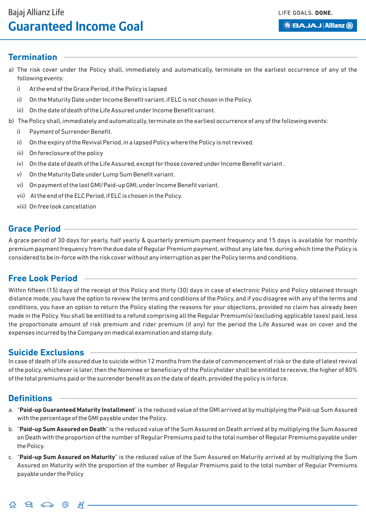LIFE GOALS, DONE.

**BBAJAJ Allianz (ii)** 

### **Termination**

- a) The risk cover under the Policy shall, immediately and automatically, terminate on the earliest occurrence of any of the following events:
	- i) At the end of the Grace Period, if the Policy is lapsed
	- ii) On the Maturity Date under Income Benefit variant,if ELC is not chosen in the Policy.
	- iii) On the date of death of the Life Assured under Income Benefit variant.
- b) The Policy shall, immediately and automatically, terminate on the earliest occurrence of any of the following events:
	- i) Payment of Surrender Benefit.
	- ii) On the expiry of the Revival Period, in a lapsed Policy where the Policy is not revived.
	- iii) On foreclosure of the policy
	- iv) On the date of death of the Life Assured, except for those covered under Income Benefit variant.
	- v) On the Maturity Date under Lump Sum Benefit variant.
	- vi) On payment of the last GMI/Paid-up GMI,under Income Benefit variant.
	- vii) At the end of the ELC Period, if ELC is chosen in the Policy.
	- viii) On free look cancellation

## **Grace Period**

A grace period of 30 days for yearly, half yearly & quarterly premium payment frequency and 15 days is available for monthly premium payment frequency from the due date of Regular Premium payment, without any late fee, during which time the Policy is considered to be in-force with the risk cover without any interruption as per the Policy terms and conditions.

## **Free Look Period**

Within fifteen (15) days of the receipt of this Policy and thirty (30) days in case of electronic Policy and Policy obtained through distance mode, you have the option to review the terms and conditions of the Policy, and if you disagree with any of the terms and conditions, you have an option to return the Policy stating the reasons for your objections, provided no claim has already been made in the Policy. You shall be entitled to a refund comprising all the Regular Premium(s) (excluding applicable taxes) paid, less the proportionate amount of risk premium and rider premium (if any) for the period the Life Assured was on cover and the expenses incurred by the Company on medical examination and stamp duty.

## **Suicide Exclusions**

In case of death of life assured due to suicide within 12 months from the date of commencement of risk or the date of latest revival of the policy, whichever is later, then the Nominee or beneficiary of the Policyholder shall be entitled to receive, the higher of 80% of the total premiums paid or the surrender benefit as on the date of death, provided the policy is in force.

## **Definitions**

- a. "**Paid-up Guaranteed Maturity Installment**" is the reduced value of the GMI arrived at by multiplying the Paid-up Sum Assured with the percentage of the GMI payable under the Policy.
- b. "**Paid-up Sum Assured on Death**" is the reduced value of the Sum Assured on Death arrived at by multiplying the Sum Assured on Death with the proportion of the number of Regular Premiums paid to the total number of Regular Premiums payable under the Policy.
- c. "**Paid-up Sum Assured on Maturity**" is the reduced value of the Sum Assured on Maturity arrived at by multiplying the Sum Assured on Maturity with the proportion of the number of Regular Premiums paid to the total number of Regular Premiums payable under the Policy

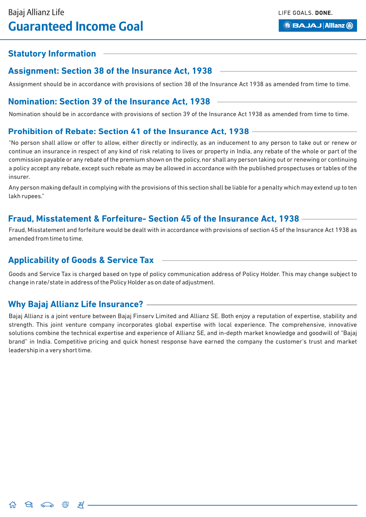**BBAJAJ Allianz (ii)** 

## **Statutory Information**

## **Assignment: Section 38 of the Insurance Act, 1938**

Assignment should be in accordance with provisions of section 38 of the Insurance Act 1938 as amended from time to time.

### **Nomination: Section 39 of the Insurance Act, 1938**

Nomination should be in accordance with provisions of section 39 of the Insurance Act 1938 as amended from time to time.

### **Prohibition of Rebate: Section 41 of the Insurance Act, 1938**

"No person shall allow or offer to allow, either directly or indirectly, as an inducement to any person to take out or renew or continue an insurance in respect of any kind of risk relating to lives or property in India, any rebate of the whole or part of the commission payable or any rebate of the premium shown on the policy, nor shall any person taking out or renewing or continuing a policy accept any rebate, except such rebate as may be allowed in accordance with the published prospectuses or tables of the insurer.

Any person making default in complying with the provisions of this section shall be liable for a penalty which may extend up to ten lakh rupees."

### **Fraud, Misstatement & Forfeiture- Section 45 of the Insurance Act, 1938**

Fraud, Misstatement and forfeiture would be dealt with in accordance with provisions of section 45 of the Insurance Act 1938 as amended from time to time.

## **Applicability of Goods & Service Tax**

Goods and Service Tax is charged based on type of policy communication address of Policy Holder. This may change subject to change in rate/state in address of the Policy Holder as on date of adjustment.

## **Why Bajaj Allianz Life Insurance?**

Bajaj Allianz is a joint venture between Bajaj Finserv Limited and Allianz SE. Both enjoy a reputation of expertise, stability and strength. This joint venture company incorporates global expertise with local experience. The comprehensive, innovative solutions combine the technical expertise and experience of Allianz SE, and in-depth market knowledge and goodwill of "Bajaj brand" in India. Competitive pricing and quick honest response have earned the company the customer's trust and market leadership in a very short time.

 $\Theta_1$   $\Longleftrightarrow$   $\stackrel{\oplus}{\oplus}$   $\stackrel{\oplus}{\mathcal{A}}$ .